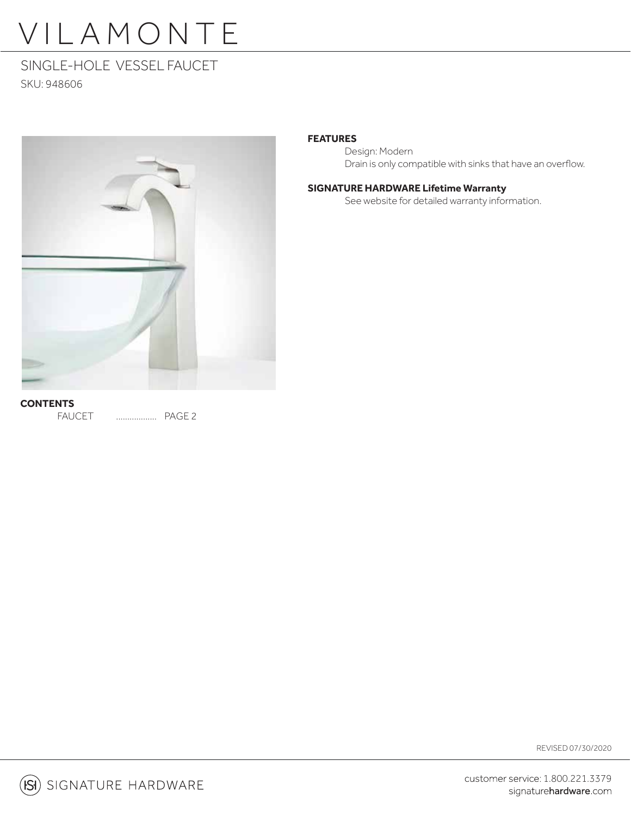# VILAMONTE

### SINGLE-HOLE VESSEL FAUCET

SKU: 948606



### **FEATURES**

 Design: Modern Drain is only compatible with sinks that have an overflow.

### **SIGNATURE HARDWARE Lifetime Warranty**

See website for detailed warranty information.

FAUCET .................. PAGE 2

REVISED 07/30/2020